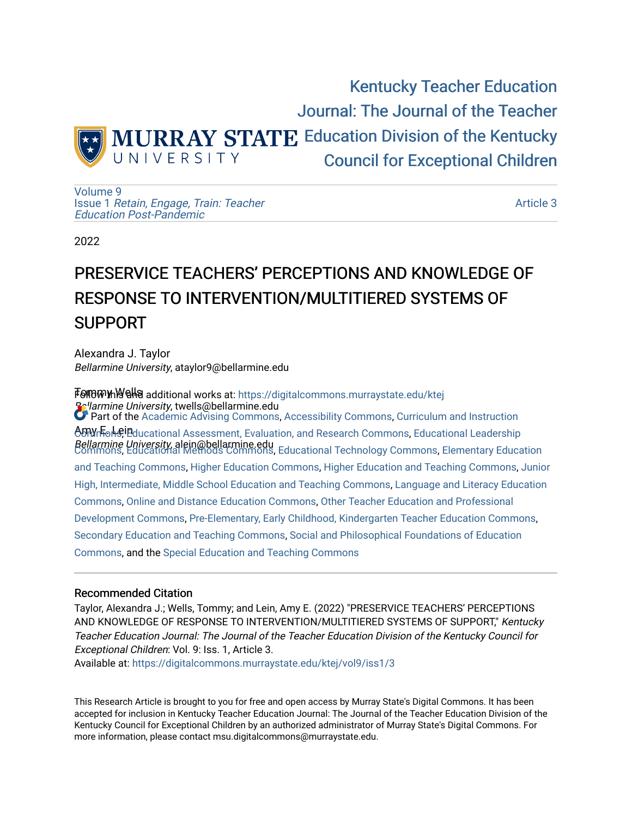

[Volume 9](https://digitalcommons.murraystate.edu/ktej/vol9) Issue 1 [Retain, Engage, Train: Teacher](https://digitalcommons.murraystate.edu/ktej/vol9/iss1)  [Education Post-Pandemic](https://digitalcommons.murraystate.edu/ktej/vol9/iss1) 

[Article 3](https://digitalcommons.murraystate.edu/ktej/vol9/iss1/3) 

2022

# PRESERVICE TEACHERS' PERCEPTIONS AND KNOWLEDGE OF RESPONSE TO INTERVENTION/MULTITIERED SYSTEMS OF SUPPORT

Alexandra J. Taylor Bellarmine University, ataylor9@bellarmine.edu

**T01100WmW9Ha additional works at: https://digitalcommons.murraystate.edu/ktej Bellarmine University, twells@bellarmine.edu** <del>ტທາ</del>Wn Fon<sup>g</sup> Peducational Assessment, Evaluation, and Research [Commons](https://network.bepress.com/hgg/discipline/786?utm_source=digitalcommons.murraystate.edu%2Fktej%2Fvol9%2Fiss1%2F3&utm_medium=PDF&utm_campaign=PDFCoverPages), Educational Leadership Bellarmine University, alein@bellarmine.edu [Commons](https://network.bepress.com/hgg/discipline/1230?utm_source=digitalcommons.murraystate.edu%2Fktej%2Fvol9%2Fiss1%2F3&utm_medium=PDF&utm_campaign=PDFCoverPages), [Educational Methods Commons](https://network.bepress.com/hgg/discipline/1227?utm_source=digitalcommons.murraystate.edu%2Fktej%2Fvol9%2Fiss1%2F3&utm_medium=PDF&utm_campaign=PDFCoverPages), [Educational Technology Commons](https://network.bepress.com/hgg/discipline/1415?utm_source=digitalcommons.murraystate.edu%2Fktej%2Fvol9%2Fiss1%2F3&utm_medium=PDF&utm_campaign=PDFCoverPages), [Elementary Education](https://network.bepress.com/hgg/discipline/805?utm_source=digitalcommons.murraystate.edu%2Fktej%2Fvol9%2Fiss1%2F3&utm_medium=PDF&utm_campaign=PDFCoverPages) Part of the [Academic Advising Commons](https://network.bepress.com/hgg/discipline/1403?utm_source=digitalcommons.murraystate.edu%2Fktej%2Fvol9%2Fiss1%2F3&utm_medium=PDF&utm_campaign=PDFCoverPages), [Accessibility Commons,](https://network.bepress.com/hgg/discipline/1318?utm_source=digitalcommons.murraystate.edu%2Fktej%2Fvol9%2Fiss1%2F3&utm_medium=PDF&utm_campaign=PDFCoverPages) [Curriculum and Instruction](https://network.bepress.com/hgg/discipline/786?utm_source=digitalcommons.murraystate.edu%2Fktej%2Fvol9%2Fiss1%2F3&utm_medium=PDF&utm_campaign=PDFCoverPages) [and Teaching Commons](https://network.bepress.com/hgg/discipline/805?utm_source=digitalcommons.murraystate.edu%2Fktej%2Fvol9%2Fiss1%2F3&utm_medium=PDF&utm_campaign=PDFCoverPages), [Higher Education Commons](https://network.bepress.com/hgg/discipline/1245?utm_source=digitalcommons.murraystate.edu%2Fktej%2Fvol9%2Fiss1%2F3&utm_medium=PDF&utm_campaign=PDFCoverPages), [Higher Education and Teaching Commons,](https://network.bepress.com/hgg/discipline/806?utm_source=digitalcommons.murraystate.edu%2Fktej%2Fvol9%2Fiss1%2F3&utm_medium=PDF&utm_campaign=PDFCoverPages) [Junior](https://network.bepress.com/hgg/discipline/807?utm_source=digitalcommons.murraystate.edu%2Fktej%2Fvol9%2Fiss1%2F3&utm_medium=PDF&utm_campaign=PDFCoverPages) [High, Intermediate, Middle School Education and Teaching Commons](https://network.bepress.com/hgg/discipline/807?utm_source=digitalcommons.murraystate.edu%2Fktej%2Fvol9%2Fiss1%2F3&utm_medium=PDF&utm_campaign=PDFCoverPages), [Language and Literacy Education](https://network.bepress.com/hgg/discipline/1380?utm_source=digitalcommons.murraystate.edu%2Fktej%2Fvol9%2Fiss1%2F3&utm_medium=PDF&utm_campaign=PDFCoverPages)  [Commons](https://network.bepress.com/hgg/discipline/1380?utm_source=digitalcommons.murraystate.edu%2Fktej%2Fvol9%2Fiss1%2F3&utm_medium=PDF&utm_campaign=PDFCoverPages), [Online and Distance Education Commons](https://network.bepress.com/hgg/discipline/1296?utm_source=digitalcommons.murraystate.edu%2Fktej%2Fvol9%2Fiss1%2F3&utm_medium=PDF&utm_campaign=PDFCoverPages), [Other Teacher Education and Professional](https://network.bepress.com/hgg/discipline/810?utm_source=digitalcommons.murraystate.edu%2Fktej%2Fvol9%2Fiss1%2F3&utm_medium=PDF&utm_campaign=PDFCoverPages) [Development Commons](https://network.bepress.com/hgg/discipline/810?utm_source=digitalcommons.murraystate.edu%2Fktej%2Fvol9%2Fiss1%2F3&utm_medium=PDF&utm_campaign=PDFCoverPages), [Pre-Elementary, Early Childhood, Kindergarten Teacher Education Commons](https://network.bepress.com/hgg/discipline/808?utm_source=digitalcommons.murraystate.edu%2Fktej%2Fvol9%2Fiss1%2F3&utm_medium=PDF&utm_campaign=PDFCoverPages), [Secondary Education and Teaching Commons](https://network.bepress.com/hgg/discipline/809?utm_source=digitalcommons.murraystate.edu%2Fktej%2Fvol9%2Fiss1%2F3&utm_medium=PDF&utm_campaign=PDFCoverPages), [Social and Philosophical Foundations of Education](https://network.bepress.com/hgg/discipline/799?utm_source=digitalcommons.murraystate.edu%2Fktej%2Fvol9%2Fiss1%2F3&utm_medium=PDF&utm_campaign=PDFCoverPages)  [Commons](https://network.bepress.com/hgg/discipline/799?utm_source=digitalcommons.murraystate.edu%2Fktej%2Fvol9%2Fiss1%2F3&utm_medium=PDF&utm_campaign=PDFCoverPages), and the [Special Education and Teaching Commons](https://network.bepress.com/hgg/discipline/801?utm_source=digitalcommons.murraystate.edu%2Fktej%2Fvol9%2Fiss1%2F3&utm_medium=PDF&utm_campaign=PDFCoverPages) 

### Recommended Citation

Taylor, Alexandra J.; Wells, Tommy; and Lein, Amy E. (2022) "PRESERVICE TEACHERS' PERCEPTIONS AND KNOWLEDGE OF RESPONSE TO INTERVENTION/MULTITIERED SYSTEMS OF SUPPORT," Kentucky Teacher Education Journal: The Journal of the Teacher Education Division of the Kentucky Council for Exceptional Children: Vol. 9: Iss. 1, Article 3.

Available at: [https://digitalcommons.murraystate.edu/ktej/vol9/iss1/3](https://digitalcommons.murraystate.edu/ktej/vol9/iss1/3?utm_source=digitalcommons.murraystate.edu%2Fktej%2Fvol9%2Fiss1%2F3&utm_medium=PDF&utm_campaign=PDFCoverPages) 

This Research Article is brought to you for free and open access by Murray State's Digital Commons. It has been accepted for inclusion in Kentucky Teacher Education Journal: The Journal of the Teacher Education Division of the Kentucky Council for Exceptional Children by an authorized administrator of Murray State's Digital Commons. For more information, please contact msu.digitalcommons@murraystate.edu.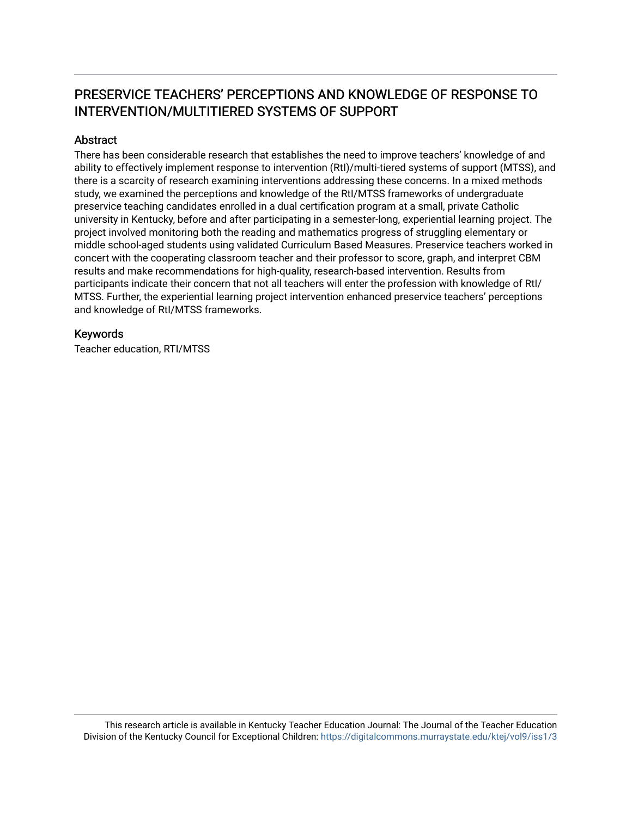## PRESERVICE TEACHERS' PERCEPTIONS AND KNOWLEDGE OF RESPONSE TO INTERVENTION/MULTITIERED SYSTEMS OF SUPPORT

### Abstract

There has been considerable research that establishes the need to improve teachers' knowledge of and ability to effectively implement response to intervention (RtI)/multi-tiered systems of support (MTSS), and there is a scarcity of research examining interventions addressing these concerns. In a mixed methods study, we examined the perceptions and knowledge of the RtI/MTSS frameworks of undergraduate preservice teaching candidates enrolled in a dual certification program at a small, private Catholic university in Kentucky, before and after participating in a semester-long, experiential learning project. The project involved monitoring both the reading and mathematics progress of struggling elementary or middle school-aged students using validated Curriculum Based Measures. Preservice teachers worked in concert with the cooperating classroom teacher and their professor to score, graph, and interpret CBM results and make recommendations for high-quality, research-based intervention. Results from participants indicate their concern that not all teachers will enter the profession with knowledge of RtI/ MTSS. Further, the experiential learning project intervention enhanced preservice teachers' perceptions and knowledge of RtI/MTSS frameworks.

### Keywords

Teacher education, RTI/MTSS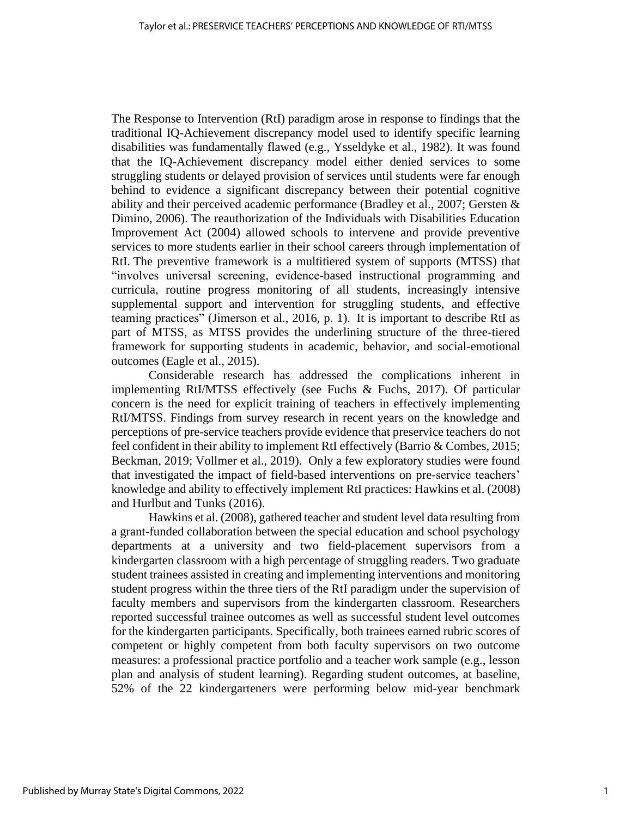The Response to Intervention (RtI) paradigm arose in response to findings that the traditional IQ-Achievement discrepancy model used to identify specific learning disabilities was fundamentally flawed (e.g., Ysseldyke et al., 1982). It was found that the IQ-Achievement discrepancy model either denied services to some struggling students or delayed provision of services until students were far enough behind to evidence a significant discrepancy between their potential cognitive ability and their perceived academic performance (Bradley et al., 2007; Gersten & Dimino, 2006). The reauthorization of the Individuals with Disabilities Education Improvement Act (2004) allowed schools to intervene and provide preventive services to more students earlier in their school careers through implementation of RtI. The preventive framework is a multitiered system of supports (MTSS) that "involves universal screening, evidence-based instructional programming and curricula, routine progress monitoring of all students, increasingly intensive supplemental support and intervention for struggling students, and effective teaming practices" (Jimerson et al., 2016, p. 1). It is important to describe RtI as part of MTSS, as MTSS provides the underlining structure of the three-tiered framework for supporting students in academic, behavior, and social-emotional outcomes (Eagle et al., 2015).

Considerable research has addressed the complications inherent in implementing RtI/MTSS effectively (see Fuchs & Fuchs, 2017). Of particular concern is the need for explicit training of teachers in effectively implementing RtI/MTSS. Findings from survey research in recent years on the knowledge and perceptions of pre-service teachers provide evidence that preservice teachers do not feel confident in their ability to implement RtI effectively (Barrio & Combes, 2015; Beckman, 2019; Vollmer et al., 2019). Only a few exploratory studies were found that investigated the impact of field-based interventions on pre-service teachers' knowledge and ability to effectively implement RtI practices: Hawkins et al. (2008) and Hurlbut and Tunks (2016).

Hawkins et al. (2008), gathered teacher and student level data resulting from a grant-funded collaboration between the special education and school psychology departments at a university and two field-placement supervisors from a kindergarten classroom with a high percentage of struggling readers. Two graduate student trainees assisted in creating and implementing interventions and monitoring student progress within the three tiers of the RtI paradigm under the supervision of faculty members and supervisors from the kindergarten classroom. Researchers reported successful trainee outcomes as well as successful student level outcomes for the kindergarten participants. Specifically, both trainees earned rubric scores of competent or highly competent from both faculty supervisors on two outcome measures: a professional practice portfolio and a teacher work sample (e.g., lesson plan and analysis of student learning). Regarding student outcomes, at baseline, 52% of the 22 kindergarteners were performing below mid-year benchmark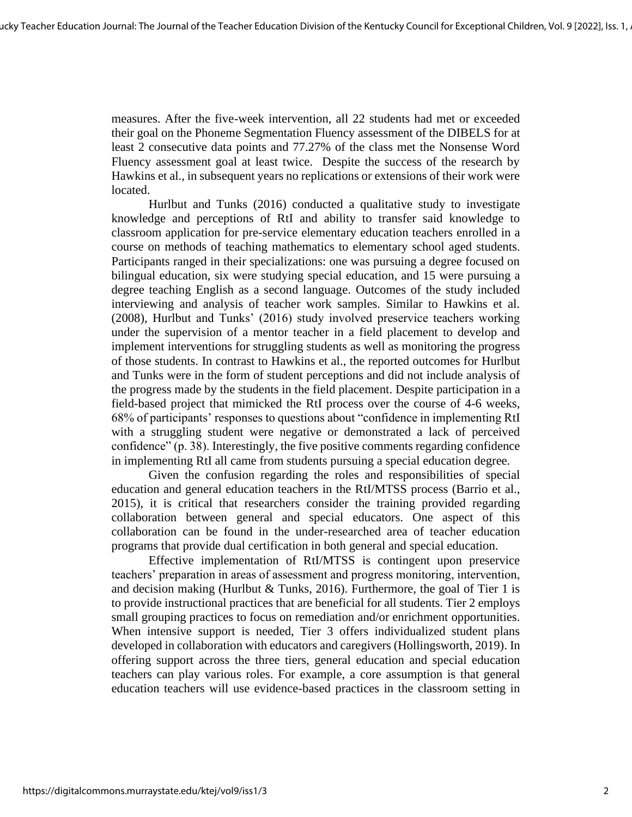measures. After the five-week intervention, all 22 students had met or exceeded their goal on the Phoneme Segmentation Fluency assessment of the DIBELS for at least 2 consecutive data points and 77.27% of the class met the Nonsense Word Fluency assessment goal at least twice. Despite the success of the research by Hawkins et al., in subsequent years no replications or extensions of their work were located.

Hurlbut and Tunks (2016) conducted a qualitative study to investigate knowledge and perceptions of RtI and ability to transfer said knowledge to classroom application for pre-service elementary education teachers enrolled in a course on methods of teaching mathematics to elementary school aged students. Participants ranged in their specializations: one was pursuing a degree focused on bilingual education, six were studying special education, and 15 were pursuing a degree teaching English as a second language. Outcomes of the study included interviewing and analysis of teacher work samples. Similar to Hawkins et al. (2008), Hurlbut and Tunks' (2016) study involved preservice teachers working under the supervision of a mentor teacher in a field placement to develop and implement interventions for struggling students as well as monitoring the progress of those students. In contrast to Hawkins et al., the reported outcomes for Hurlbut and Tunks were in the form of student perceptions and did not include analysis of the progress made by the students in the field placement. Despite participation in a field-based project that mimicked the RtI process over the course of 4-6 weeks, 68% of participants' responses to questions about "confidence in implementing RtI with a struggling student were negative or demonstrated a lack of perceived confidence" (p. 38). Interestingly, the five positive comments regarding confidence in implementing RtI all came from students pursuing a special education degree.

Given the confusion regarding the roles and responsibilities of special education and general education teachers in the RtI/MTSS process (Barrio et al., 2015), it is critical that researchers consider the training provided regarding collaboration between general and special educators. One aspect of this collaboration can be found in the under-researched area of teacher education programs that provide dual certification in both general and special education.

Effective implementation of RtI/MTSS is contingent upon preservice teachers' preparation in areas of assessment and progress monitoring, intervention, and decision making (Hurlbut & Tunks, 2016). Furthermore, the goal of Tier 1 is to provide instructional practices that are beneficial for all students. Tier 2 employs small grouping practices to focus on remediation and/or enrichment opportunities. When intensive support is needed, Tier 3 offers individualized student plans developed in collaboration with educators and caregivers (Hollingsworth, 2019). In offering support across the three tiers, general education and special education teachers can play various roles. For example, a core assumption is that general education teachers will use evidence-based practices in the classroom setting in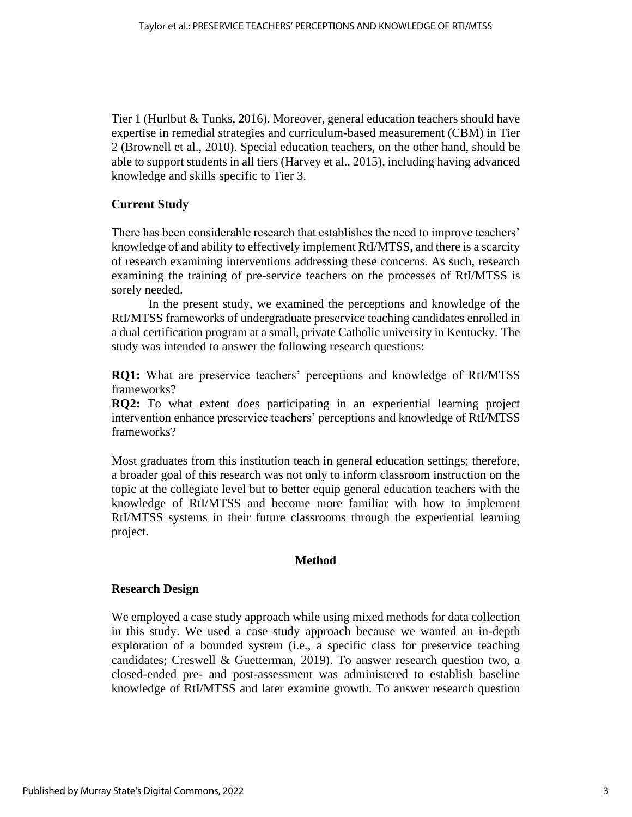Tier 1 (Hurlbut & Tunks, 2016). Moreover, general education teachers should have expertise in remedial strategies and curriculum-based measurement (CBM) in Tier 2 (Brownell et al., 2010). Special education teachers, on the other hand, should be able to support students in all tiers (Harvey et al., 2015), including having advanced knowledge and skills specific to Tier 3.

### **Current Study**

There has been considerable research that establishes the need to improve teachers' knowledge of and ability to effectively implement RtI/MTSS, and there is a scarcity of research examining interventions addressing these concerns. As such, research examining the training of pre-service teachers on the processes of RtI/MTSS is sorely needed.

In the present study, we examined the perceptions and knowledge of the RtI/MTSS frameworks of undergraduate preservice teaching candidates enrolled in a dual certification program at a small, private Catholic university in Kentucky. The study was intended to answer the following research questions:

**RQ1:** What are preservice teachers' perceptions and knowledge of RtI/MTSS frameworks?

**RQ2:** To what extent does participating in an experiential learning project intervention enhance preservice teachers' perceptions and knowledge of RtI/MTSS frameworks?

Most graduates from this institution teach in general education settings; therefore, a broader goal of this research was not only to inform classroom instruction on the topic at the collegiate level but to better equip general education teachers with the knowledge of RtI/MTSS and become more familiar with how to implement RtI/MTSS systems in their future classrooms through the experiential learning project.

### **Method**

### **Research Design**

We employed a case study approach while using mixed methods for data collection in this study. We used a case study approach because we wanted an in-depth exploration of a bounded system (i.e., a specific class for preservice teaching candidates; Creswell & Guetterman, 2019). To answer research question two, a closed-ended pre- and post-assessment was administered to establish baseline knowledge of RtI/MTSS and later examine growth. To answer research question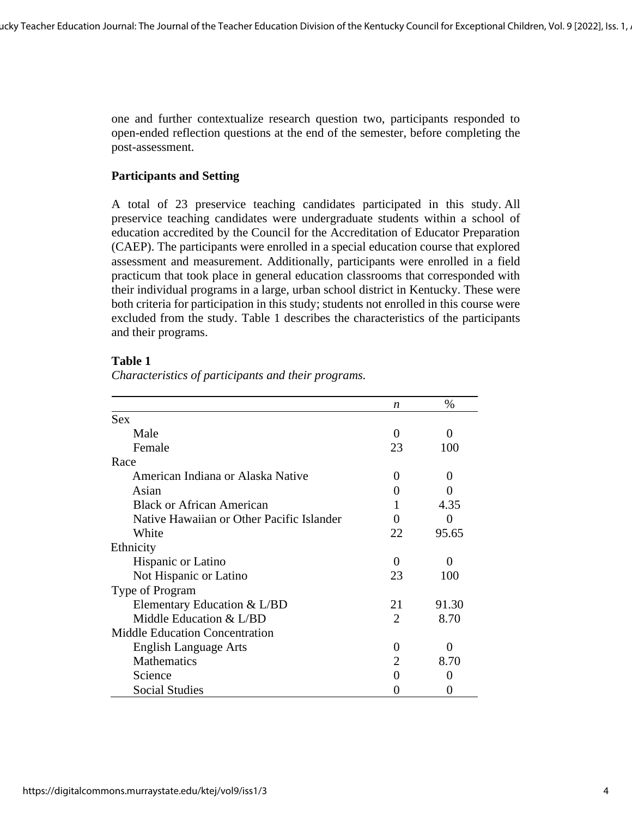one and further contextualize research question two, participants responded to open-ended reflection questions at the end of the semester, before completing the post-assessment.

### **Participants and Setting**

A total of 23 preservice teaching candidates participated in this study. All preservice teaching candidates were undergraduate students within a school of education accredited by the Council for the Accreditation of Educator Preparation (CAEP). The participants were enrolled in a special education course that explored assessment and measurement. Additionally, participants were enrolled in a field practicum that took place in general education classrooms that corresponded with their individual programs in a large, urban school district in Kentucky. These were both criteria for participation in this study; students not enrolled in this course were excluded from the study. Table 1 describes the characteristics of the participants and their programs.

### **Table 1**

*Characteristics of participants and their programs.*

|                                           | $\boldsymbol{n}$      | $\%$              |
|-------------------------------------------|-----------------------|-------------------|
| <b>Sex</b>                                |                       |                   |
| Male                                      | $\mathbf{\Omega}$     | 0                 |
| Female                                    | 23                    | 100               |
| Race                                      |                       |                   |
| American Indiana or Alaska Native         | $\mathbf{\Omega}$     | 0                 |
| Asian                                     | $\mathbf{\Omega}$     |                   |
| <b>Black or African American</b>          |                       | 4.35              |
| Native Hawaiian or Other Pacific Islander | 0                     |                   |
| White                                     | 22                    | 95.65             |
| Ethnicity                                 |                       |                   |
| Hispanic or Latino                        | 0                     | $\mathbf{\Omega}$ |
| Not Hispanic or Latino                    | 23                    | 100               |
| Type of Program                           |                       |                   |
| Elementary Education $& L/BD$             | 21                    | 91.30             |
| Middle Education & L/BD                   | $\mathcal{D}_{\cdot}$ | 8.70              |
| <b>Middle Education Concentration</b>     |                       |                   |
| <b>English Language Arts</b>              | $\mathbf{\Omega}$     |                   |
| <b>Mathematics</b>                        | $\mathcal{D}_{\cdot}$ | 8.70              |
| Science                                   |                       |                   |
| <b>Social Studies</b>                     |                       |                   |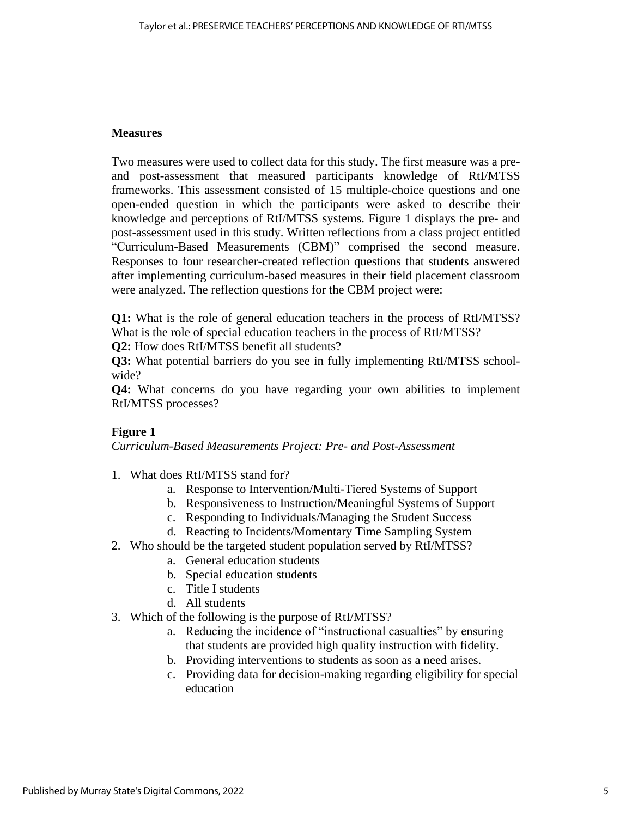### **Measures**

Two measures were used to collect data for this study. The first measure was a preand post-assessment that measured participants knowledge of RtI/MTSS frameworks. This assessment consisted of 15 multiple-choice questions and one open-ended question in which the participants were asked to describe their knowledge and perceptions of RtI/MTSS systems. Figure 1 displays the pre- and post-assessment used in this study. Written reflections from a class project entitled "Curriculum-Based Measurements (CBM)" comprised the second measure. Responses to four researcher-created reflection questions that students answered after implementing curriculum-based measures in their field placement classroom were analyzed. The reflection questions for the CBM project were:

**Q1:** What is the role of general education teachers in the process of RtI/MTSS? What is the role of special education teachers in the process of RtI/MTSS?

**Q2:** How does RtI/MTSS benefit all students?

**Q3:** What potential barriers do you see in fully implementing RtI/MTSS schoolwide?

**Q4:** What concerns do you have regarding your own abilities to implement RtI/MTSS processes?

### **Figure 1**

*Curriculum-Based Measurements Project: Pre- and Post-Assessment*

- 1. What does RtI/MTSS stand for?
	- a. Response to Intervention/Multi-Tiered Systems of Support
	- b. Responsiveness to Instruction/Meaningful Systems of Support
	- c. Responding to Individuals/Managing the Student Success
	- d. Reacting to Incidents/Momentary Time Sampling System
- 2. Who should be the targeted student population served by RtI/MTSS?
	- a. General education students
	- b. Special education students
	- c. Title I students
	- d. All students
- 3. Which of the following is the purpose of RtI/MTSS?
	- a. Reducing the incidence of "instructional casualties" by ensuring that students are provided high quality instruction with fidelity.
	- b. Providing interventions to students as soon as a need arises.
	- c. Providing data for decision-making regarding eligibility for special education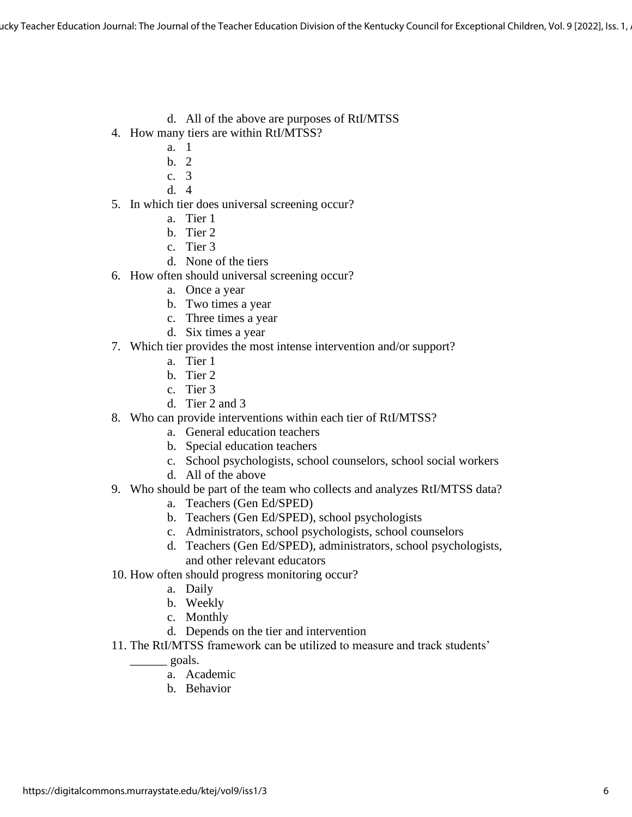ucky Teacher Education Journal: The Journal of the Teacher Education Division of the Kentucky Council for Exceptional Children, Vol. 9 [2022], Iss. 1,

- d. All of the above are purposes of RtI/MTSS
- 4. How many tiers are within RtI/MTSS?
	- a. 1
	- $h \quad 2$
	- c. 3
	- d. 4
- 5. In which tier does universal screening occur?
	- a. Tier 1
	- b. Tier 2
	- c. Tier 3
	- d. None of the tiers
- 6. How often should universal screening occur?
	- a. Once a year
	- b. Two times a year
	- c. Three times a year
	- d. Six times a year
- 7. Which tier provides the most intense intervention and/or support?
	- a. Tier 1
	- b. Tier 2
	- c. Tier 3
	- d. Tier 2 and 3
- 8. Who can provide interventions within each tier of RtI/MTSS?
	- a. General education teachers
	- b. Special education teachers
	- c. School psychologists, school counselors, school social workers
	- d. All of the above
- 9. Who should be part of the team who collects and analyzes RtI/MTSS data?
	- a. Teachers (Gen Ed/SPED)
	- b. Teachers (Gen Ed/SPED), school psychologists
	- c. Administrators, school psychologists, school counselors
	- d. Teachers (Gen Ed/SPED), administrators, school psychologists, and other relevant educators
- 10. How often should progress monitoring occur?
	- a. Daily
	- b. Weekly
	- c. Monthly
	- d. Depends on the tier and intervention
- 11. The RtI/MTSS framework can be utilized to measure and track students'

\_\_\_\_\_\_ goals.

- a. Academic
- b. Behavior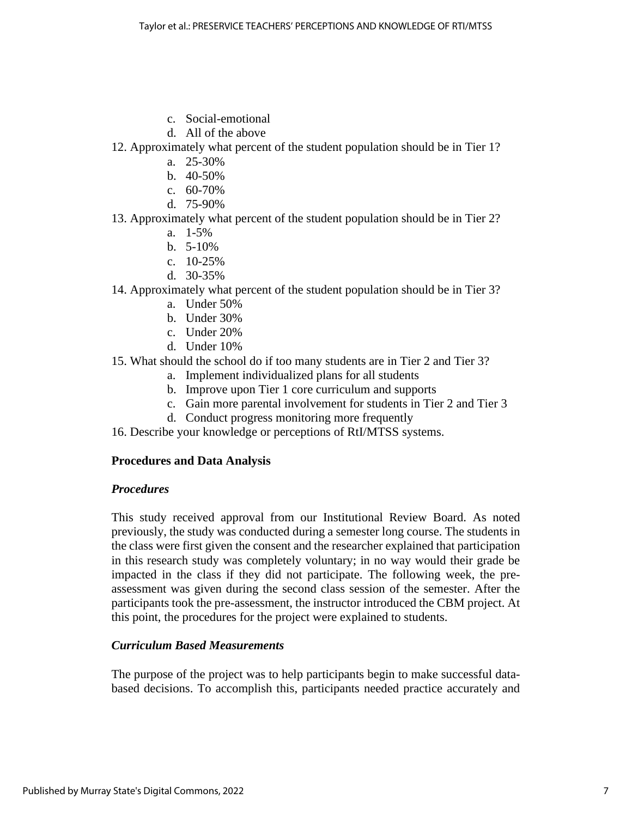- c. Social-emotional
- d. All of the above

### 12. Approximately what percent of the student population should be in Tier 1?

- a. 25-30%
- b. 40-50%
- c. 60-70%
- d. 75-90%
- 13. Approximately what percent of the student population should be in Tier 2?
	- a. 1-5%
	- b. 5-10%
	- c. 10-25%
	- d. 30-35%
- 14. Approximately what percent of the student population should be in Tier 3?
	- a. Under 50%
	- b. Under 30%
	- c. Under 20%
	- d. Under 10%
- 15. What should the school do if too many students are in Tier 2 and Tier 3?
	- a. Implement individualized plans for all students
	- b. Improve upon Tier 1 core curriculum and supports
	- c. Gain more parental involvement for students in Tier 2 and Tier 3
	- d. Conduct progress monitoring more frequently
- 16. Describe your knowledge or perceptions of RtI/MTSS systems.

### **Procedures and Data Analysis**

### *Procedures*

This study received approval from our Institutional Review Board. As noted previously, the study was conducted during a semester long course. The students in the class were first given the consent and the researcher explained that participation in this research study was completely voluntary; in no way would their grade be impacted in the class if they did not participate. The following week, the preassessment was given during the second class session of the semester. After the participants took the pre-assessment, the instructor introduced the CBM project. At this point, the procedures for the project were explained to students.

### *Curriculum Based Measurements*

The purpose of the project was to help participants begin to make successful databased decisions. To accomplish this, participants needed practice accurately and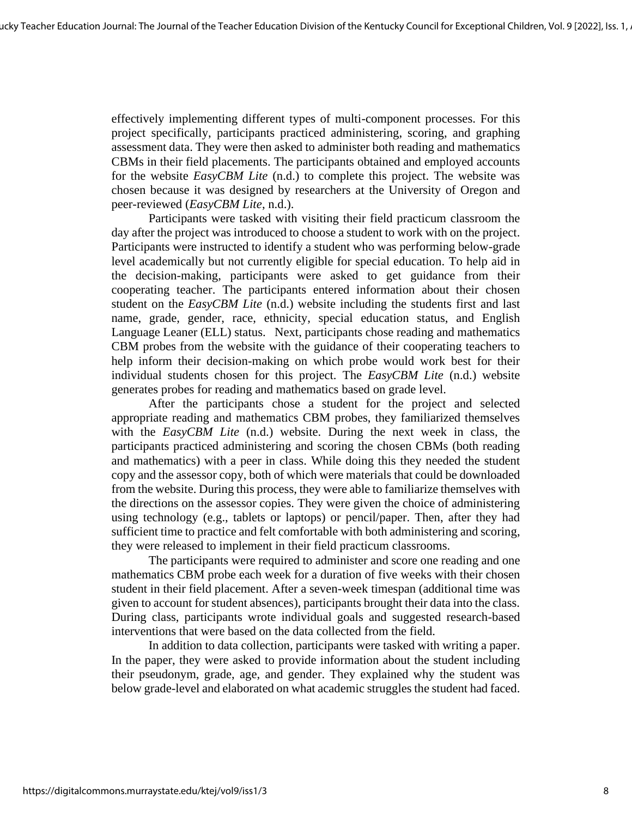effectively implementing different types of multi-component processes. For this project specifically, participants practiced administering, scoring, and graphing assessment data. They were then asked to administer both reading and mathematics CBMs in their field placements. The participants obtained and employed accounts for the website *EasyCBM Lite* (n.d.) to complete this project. The website was chosen because it was designed by researchers at the University of Oregon and peer-reviewed (*EasyCBM Lite*, n.d.).

Participants were tasked with visiting their field practicum classroom the day after the project was introduced to choose a student to work with on the project. Participants were instructed to identify a student who was performing below-grade level academically but not currently eligible for special education. To help aid in the decision-making, participants were asked to get guidance from their cooperating teacher. The participants entered information about their chosen student on the *EasyCBM Lite* (n.d.) website including the students first and last name, grade, gender, race, ethnicity, special education status, and English Language Leaner (ELL) status. Next, participants chose reading and mathematics CBM probes from the website with the guidance of their cooperating teachers to help inform their decision-making on which probe would work best for their individual students chosen for this project. The *EasyCBM Lite* (n.d.) website generates probes for reading and mathematics based on grade level.

After the participants chose a student for the project and selected appropriate reading and mathematics CBM probes, they familiarized themselves with the *EasyCBM Lite* (n.d.) website. During the next week in class, the participants practiced administering and scoring the chosen CBMs (both reading and mathematics) with a peer in class. While doing this they needed the student copy and the assessor copy, both of which were materials that could be downloaded from the website. During this process, they were able to familiarize themselves with the directions on the assessor copies. They were given the choice of administering using technology (e.g., tablets or laptops) or pencil/paper. Then, after they had sufficient time to practice and felt comfortable with both administering and scoring, they were released to implement in their field practicum classrooms.

The participants were required to administer and score one reading and one mathematics CBM probe each week for a duration of five weeks with their chosen student in their field placement. After a seven-week timespan (additional time was given to account for student absences), participants brought their data into the class. During class, participants wrote individual goals and suggested research-based interventions that were based on the data collected from the field.

In addition to data collection, participants were tasked with writing a paper. In the paper, they were asked to provide information about the student including their pseudonym, grade, age, and gender. They explained why the student was below grade-level and elaborated on what academic struggles the student had faced.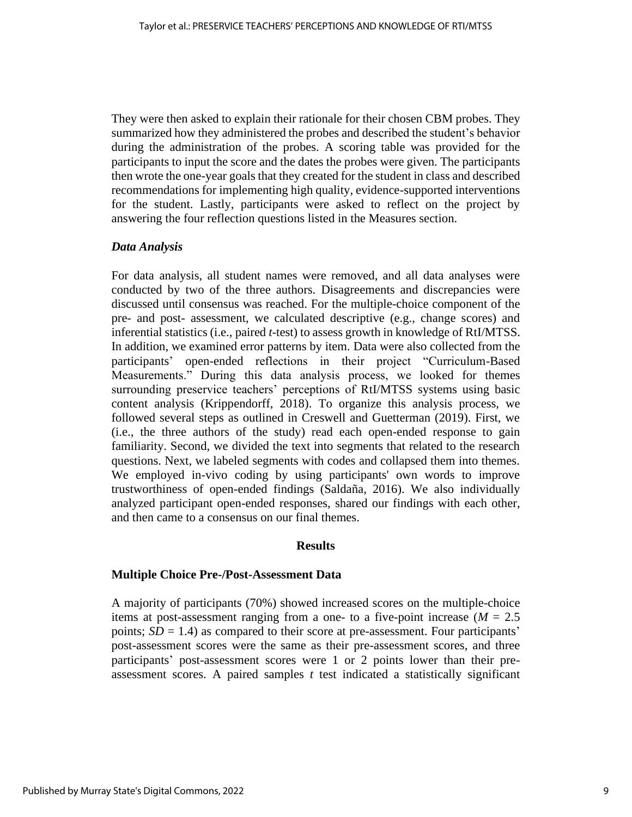They were then asked to explain their rationale for their chosen CBM probes. They summarized how they administered the probes and described the student's behavior during the administration of the probes. A scoring table was provided for the participants to input the score and the dates the probes were given. The participants then wrote the one-year goals that they created for the student in class and described recommendations for implementing high quality, evidence-supported interventions for the student. Lastly, participants were asked to reflect on the project by answering the four reflection questions listed in the Measures section.

### *Data Analysis*

For data analysis, all student names were removed, and all data analyses were conducted by two of the three authors. Disagreements and discrepancies were discussed until consensus was reached. For the multiple-choice component of the pre- and post- assessment, we calculated descriptive (e.g., change scores) and inferential statistics (i.e., paired *t*-test) to assess growth in knowledge of RtI/MTSS. In addition, we examined error patterns by item. Data were also collected from the participants' open-ended reflections in their project "Curriculum-Based Measurements." During this data analysis process, we looked for themes surrounding preservice teachers' perceptions of RtI/MTSS systems using basic content analysis (Krippendorff, 2018). To organize this analysis process, we followed several steps as outlined in Creswell and Guetterman (2019). First, we (i.e., the three authors of the study) read each open-ended response to gain familiarity. Second, we divided the text into segments that related to the research questions. Next, we labeled segments with codes and collapsed them into themes. We employed in-vivo coding by using participants' own words to improve trustworthiness of open-ended findings (Saldaña, 2016). We also individually analyzed participant open-ended responses, shared our findings with each other, and then came to a consensus on our final themes.

#### **Results**

### **Multiple Choice Pre-/Post-Assessment Data**

A majority of participants (70%) showed increased scores on the multiple-choice items at post-assessment ranging from a one- to a five-point increase  $(M = 2.5)$ points;  $SD = 1.4$ ) as compared to their score at pre-assessment. Four participants' post-assessment scores were the same as their pre-assessment scores, and three participants' post-assessment scores were 1 or 2 points lower than their preassessment scores. A paired samples *t* test indicated a statistically significant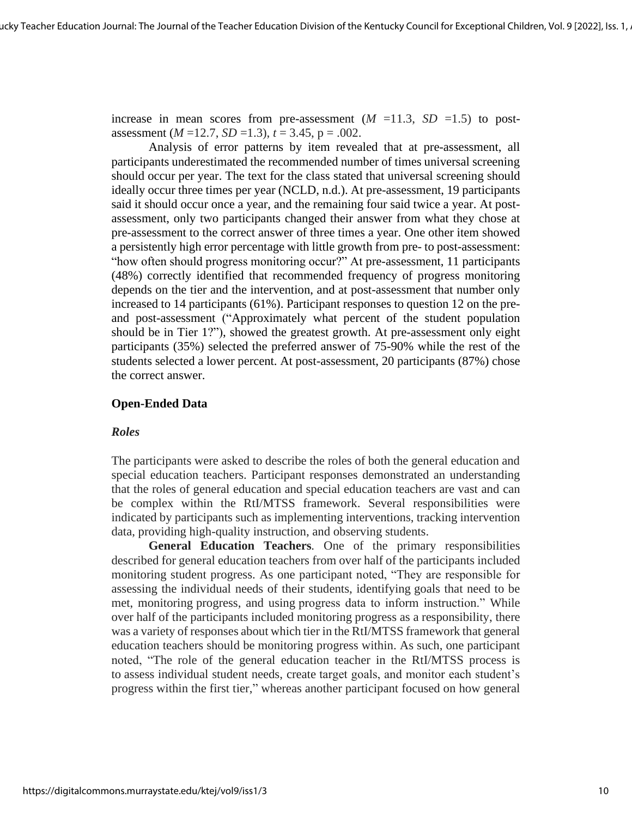increase in mean scores from pre-assessment  $(M = 11.3, SD = 1.5)$  to postassessment  $(M=12.7, SD=1.3)$ ,  $t = 3.45$ ,  $p = .002$ .

Analysis of error patterns by item revealed that at pre-assessment, all participants underestimated the recommended number of times universal screening should occur per year. The text for the class stated that universal screening should ideally occur three times per year (NCLD, n.d.). At pre-assessment, 19 participants said it should occur once a year, and the remaining four said twice a year. At postassessment, only two participants changed their answer from what they chose at pre-assessment to the correct answer of three times a year. One other item showed a persistently high error percentage with little growth from pre- to post-assessment: "how often should progress monitoring occur?" At pre-assessment, 11 participants (48%) correctly identified that recommended frequency of progress monitoring depends on the tier and the intervention, and at post-assessment that number only increased to 14 participants (61%). Participant responses to question 12 on the preand post-assessment ("Approximately what percent of the student population should be in Tier 1?"), showed the greatest growth. At pre-assessment only eight participants (35%) selected the preferred answer of 75-90% while the rest of the students selected a lower percent. At post-assessment, 20 participants (87%) chose the correct answer.

### **Open-Ended Data**

### *Roles*

The participants were asked to describe the roles of both the general education and special education teachers. Participant responses demonstrated an understanding that the roles of general education and special education teachers are vast and can be complex within the RtI/MTSS framework. Several responsibilities were indicated by participants such as implementing interventions, tracking intervention data, providing high-quality instruction, and observing students.

**General Education Teachers***.* One of the primary responsibilities described for general education teachers from over half of the participants included monitoring student progress. As one participant noted, "They are responsible for assessing the individual needs of their students, identifying goals that need to be met, monitoring progress, and using progress data to inform instruction." While over half of the participants included monitoring progress as a responsibility, there was a variety of responses about which tier in the RtI/MTSS framework that general education teachers should be monitoring progress within. As such, one participant noted, "The role of the general education teacher in the RtI/MTSS process is to assess individual student needs, create target goals, and monitor each student's progress within the first tier," whereas another participant focused on how general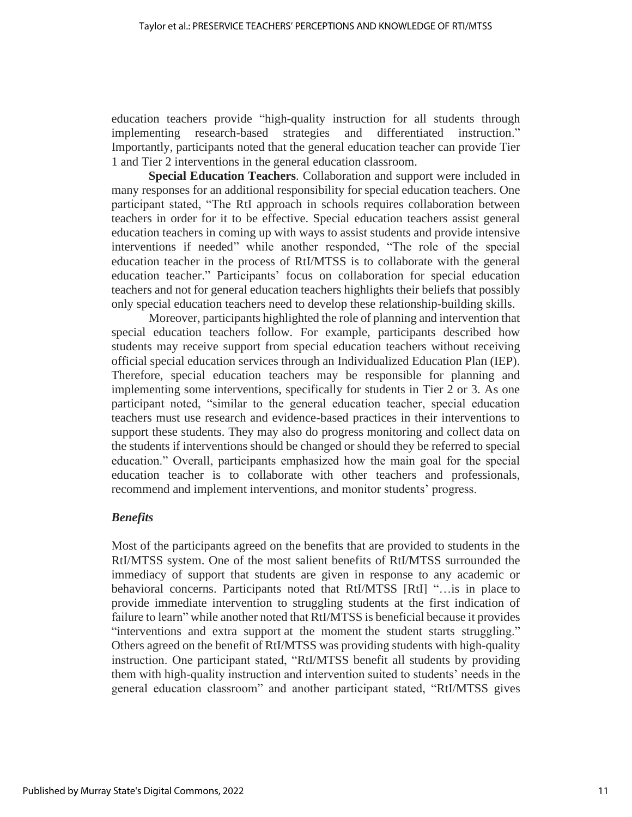education teachers provide "high-quality instruction for all students through implementing research-based strategies and differentiated instruction." Importantly, participants noted that the general education teacher can provide Tier 1 and Tier 2 interventions in the general education classroom.

**Special Education Teachers***.* Collaboration and support were included in many responses for an additional responsibility for special education teachers. One participant stated, "The RtI approach in schools requires collaboration between teachers in order for it to be effective. Special education teachers assist general education teachers in coming up with ways to assist students and provide intensive interventions if needed" while another responded, "The role of the special education teacher in the process of RtI/MTSS is to collaborate with the general education teacher." Participants' focus on collaboration for special education teachers and not for general education teachers highlights their beliefs that possibly only special education teachers need to develop these relationship-building skills.

Moreover, participants highlighted the role of planning and intervention that special education teachers follow. For example, participants described how students may receive support from special education teachers without receiving official special education services through an Individualized Education Plan (IEP). Therefore, special education teachers may be responsible for planning and implementing some interventions, specifically for students in Tier 2 or 3. As one participant noted, "similar to the general education teacher, special education teachers must use research and evidence-based practices in their interventions to support these students. They may also do progress monitoring and collect data on the students if interventions should be changed or should they be referred to special education." Overall, participants emphasized how the main goal for the special education teacher is to collaborate with other teachers and professionals, recommend and implement interventions, and monitor students' progress.

### *Benefits*

Most of the participants agreed on the benefits that are provided to students in the RtI/MTSS system. One of the most salient benefits of RtI/MTSS surrounded the immediacy of support that students are given in response to any academic or behavioral concerns. Participants noted that RtI/MTSS [RtI] "…is in place to provide immediate intervention to struggling students at the first indication of failure to learn" while another noted that RtI/MTSS is beneficial because it provides "interventions and extra support at the moment the student starts struggling." Others agreed on the benefit of RtI/MTSS was providing students with high-quality instruction. One participant stated, "RtI/MTSS benefit all students by providing them with high-quality instruction and intervention suited to students' needs in the general education classroom" and another participant stated, "RtI/MTSS gives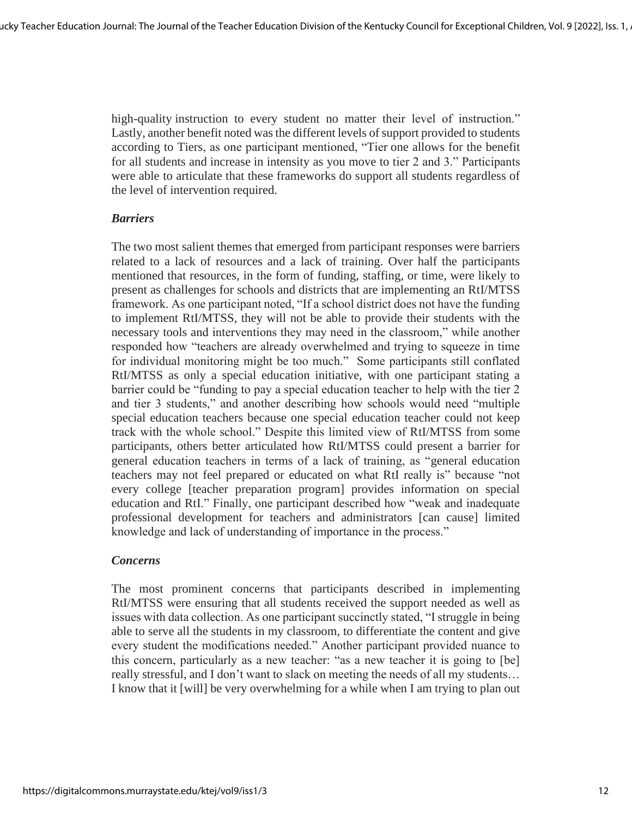high-quality instruction to every student no matter their level of instruction." Lastly, another benefit noted was the different levels of support provided to students according to Tiers, as one participant mentioned, "Tier one allows for the benefit for all students and increase in intensity as you move to tier 2 and 3." Participants were able to articulate that these frameworks do support all students regardless of the level of intervention required.

### *Barriers*

The two most salient themes that emerged from participant responses were barriers related to a lack of resources and a lack of training. Over half the participants mentioned that resources, in the form of funding, staffing, or time, were likely to present as challenges for schools and districts that are implementing an RtI/MTSS framework. As one participant noted, "If a school district does not have the funding to implement RtI/MTSS, they will not be able to provide their students with the necessary tools and interventions they may need in the classroom," while another responded how "teachers are already overwhelmed and trying to squeeze in time for individual monitoring might be too much." Some participants still conflated RtI/MTSS as only a special education initiative, with one participant stating a barrier could be "funding to pay a special education teacher to help with the tier 2 and tier 3 students," and another describing how schools would need "multiple special education teachers because one special education teacher could not keep track with the whole school." Despite this limited view of RtI/MTSS from some participants, others better articulated how RtI/MTSS could present a barrier for general education teachers in terms of a lack of training, as "general education teachers may not feel prepared or educated on what RtI really is" because "not every college [teacher preparation program] provides information on special education and RtI." Finally, one participant described how "weak and inadequate professional development for teachers and administrators [can cause] limited knowledge and lack of understanding of importance in the process."

### *Concerns*

The most prominent concerns that participants described in implementing RtI/MTSS were ensuring that all students received the support needed as well as issues with data collection. As one participant succinctly stated, "I struggle in being able to serve all the students in my classroom, to differentiate the content and give every student the modifications needed." Another participant provided nuance to this concern, particularly as a new teacher: "as a new teacher it is going to [be] really stressful, and I don't want to slack on meeting the needs of all my students… I know that it [will] be very overwhelming for a while when I am trying to plan out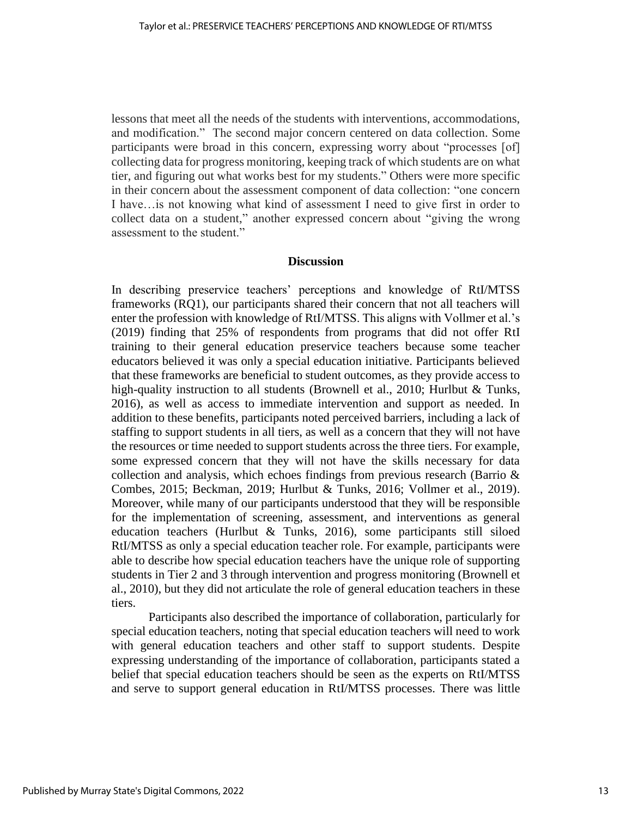lessons that meet all the needs of the students with interventions, accommodations, and modification." The second major concern centered on data collection. Some participants were broad in this concern, expressing worry about "processes [of] collecting data for progress monitoring, keeping track of which students are on what tier, and figuring out what works best for my students." Others were more specific in their concern about the assessment component of data collection: "one concern I have…is not knowing what kind of assessment I need to give first in order to collect data on a student," another expressed concern about "giving the wrong assessment to the student."

#### **Discussion**

In describing preservice teachers' perceptions and knowledge of RtI/MTSS frameworks (RQ1), our participants shared their concern that not all teachers will enter the profession with knowledge of RtI/MTSS. This aligns with Vollmer et al.'s (2019) finding that 25% of respondents from programs that did not offer RtI training to their general education preservice teachers because some teacher educators believed it was only a special education initiative. Participants believed that these frameworks are beneficial to student outcomes, as they provide access to high-quality instruction to all students (Brownell et al., 2010; Hurlbut & Tunks, 2016), as well as access to immediate intervention and support as needed. In addition to these benefits, participants noted perceived barriers, including a lack of staffing to support students in all tiers, as well as a concern that they will not have the resources or time needed to support students across the three tiers. For example, some expressed concern that they will not have the skills necessary for data collection and analysis, which echoes findings from previous research (Barrio & Combes, 2015; Beckman, 2019; Hurlbut & Tunks, 2016; Vollmer et al., 2019). Moreover, while many of our participants understood that they will be responsible for the implementation of screening, assessment, and interventions as general education teachers (Hurlbut & Tunks, 2016), some participants still siloed RtI/MTSS as only a special education teacher role. For example, participants were able to describe how special education teachers have the unique role of supporting students in Tier 2 and 3 through intervention and progress monitoring (Brownell et al., 2010), but they did not articulate the role of general education teachers in these tiers.

Participants also described the importance of collaboration, particularly for special education teachers, noting that special education teachers will need to work with general education teachers and other staff to support students. Despite expressing understanding of the importance of collaboration, participants stated a belief that special education teachers should be seen as the experts on RtI/MTSS and serve to support general education in RtI/MTSS processes. There was little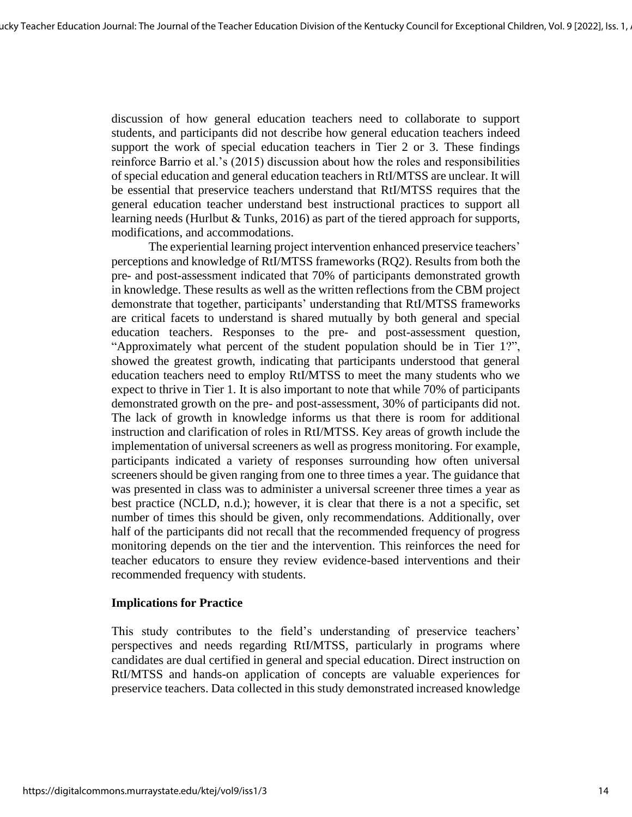discussion of how general education teachers need to collaborate to support students, and participants did not describe how general education teachers indeed support the work of special education teachers in Tier 2 or 3. These findings reinforce Barrio et al.'s (2015) discussion about how the roles and responsibilities of special education and general education teachers in RtI/MTSS are unclear. It will be essential that preservice teachers understand that RtI/MTSS requires that the general education teacher understand best instructional practices to support all learning needs (Hurlbut & Tunks, 2016) as part of the tiered approach for supports, modifications, and accommodations.

The experiential learning project intervention enhanced preservice teachers' perceptions and knowledge of RtI/MTSS frameworks (RQ2). Results from both the pre- and post-assessment indicated that 70% of participants demonstrated growth in knowledge. These results as well as the written reflections from the CBM project demonstrate that together, participants' understanding that RtI/MTSS frameworks are critical facets to understand is shared mutually by both general and special education teachers. Responses to the pre- and post-assessment question, "Approximately what percent of the student population should be in Tier 1?", showed the greatest growth, indicating that participants understood that general education teachers need to employ RtI/MTSS to meet the many students who we expect to thrive in Tier 1. It is also important to note that while 70% of participants demonstrated growth on the pre- and post-assessment, 30% of participants did not. The lack of growth in knowledge informs us that there is room for additional instruction and clarification of roles in RtI/MTSS. Key areas of growth include the implementation of universal screeners as well as progress monitoring. For example, participants indicated a variety of responses surrounding how often universal screeners should be given ranging from one to three times a year. The guidance that was presented in class was to administer a universal screener three times a year as best practice (NCLD, n.d.); however, it is clear that there is a not a specific, set number of times this should be given, only recommendations. Additionally, over half of the participants did not recall that the recommended frequency of progress monitoring depends on the tier and the intervention. This reinforces the need for teacher educators to ensure they review evidence-based interventions and their recommended frequency with students.

### **Implications for Practice**

This study contributes to the field's understanding of preservice teachers' perspectives and needs regarding RtI/MTSS, particularly in programs where candidates are dual certified in general and special education. Direct instruction on RtI/MTSS and hands-on application of concepts are valuable experiences for preservice teachers. Data collected in this study demonstrated increased knowledge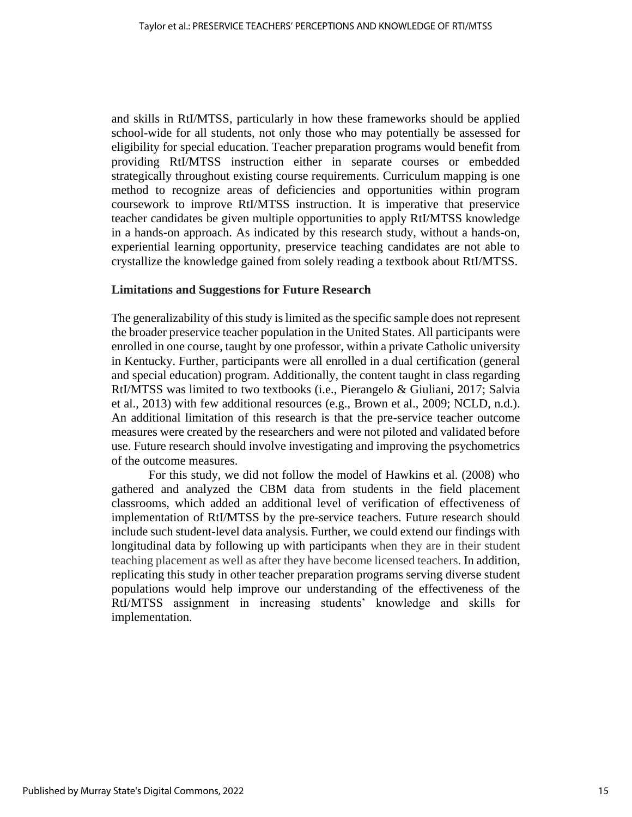and skills in RtI/MTSS, particularly in how these frameworks should be applied school-wide for all students, not only those who may potentially be assessed for eligibility for special education. Teacher preparation programs would benefit from providing RtI/MTSS instruction either in separate courses or embedded strategically throughout existing course requirements. Curriculum mapping is one method to recognize areas of deficiencies and opportunities within program coursework to improve RtI/MTSS instruction. It is imperative that preservice teacher candidates be given multiple opportunities to apply RtI/MTSS knowledge in a hands-on approach. As indicated by this research study, without a hands-on, experiential learning opportunity, preservice teaching candidates are not able to crystallize the knowledge gained from solely reading a textbook about RtI/MTSS.

### **Limitations and Suggestions for Future Research**

The generalizability of this study is limited as the specific sample does not represent the broader preservice teacher population in the United States. All participants were enrolled in one course, taught by one professor, within a private Catholic university in Kentucky. Further, participants were all enrolled in a dual certification (general and special education) program. Additionally, the content taught in class regarding RtI/MTSS was limited to two textbooks (i.e., Pierangelo & Giuliani, 2017; Salvia et al., 2013) with few additional resources (e.g., Brown et al., 2009; NCLD, n.d.). An additional limitation of this research is that the pre-service teacher outcome measures were created by the researchers and were not piloted and validated before use. Future research should involve investigating and improving the psychometrics of the outcome measures.

For this study, we did not follow the model of Hawkins et al. (2008) who gathered and analyzed the CBM data from students in the field placement classrooms, which added an additional level of verification of effectiveness of implementation of RtI/MTSS by the pre-service teachers. Future research should include such student-level data analysis. Further, we could extend our findings with longitudinal data by following up with participants when they are in their student teaching placement as well as after they have become licensed teachers. In addition, replicating this study in other teacher preparation programs serving diverse student populations would help improve our understanding of the effectiveness of the RtI/MTSS assignment in increasing students' knowledge and skills for implementation.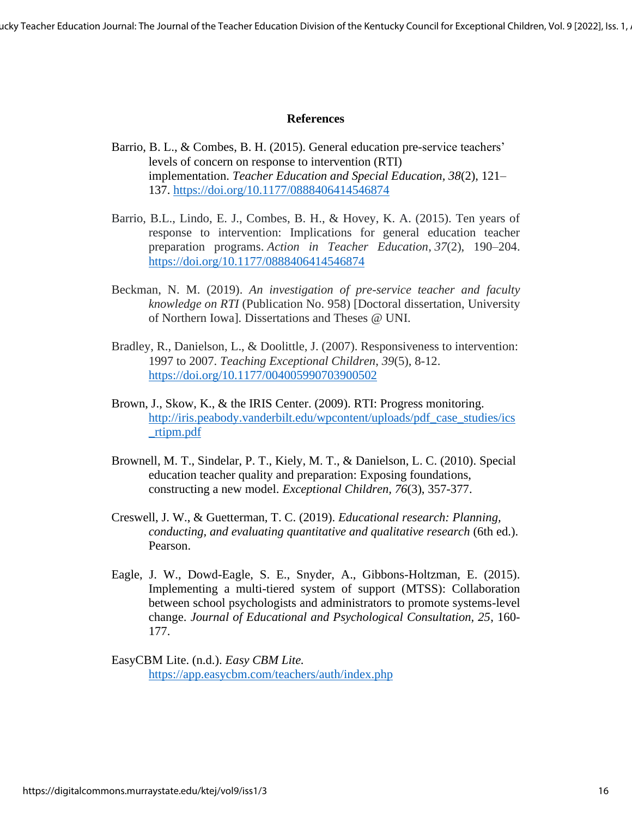ucky Teacher Education Journal: The Journal of the Teacher Education Division of the Kentucky Council for Exceptional Children, Vol. 9 [2022], Iss. 1,

### **References**

- Barrio, B. L., & Combes, B. H. (2015). General education pre-service teachers' levels of concern on response to intervention (RTI) implementation. *Teacher Education and Special Education, 38*(2), 121– 137.<https://doi.org/10.1177/0888406414546874>
- Barrio, B.L., Lindo, E. J., Combes, B. H., & Hovey, K. A. (2015). Ten years of response to intervention: Implications for general education teacher preparation programs. *Action in Teacher Education*, *37*(2), 190–204. <https://doi.org/10.1177/0888406414546874>
- Beckman, N. M. (2019). *An investigation of pre-service teacher and faculty knowledge on RTI* (Publication No. 958) [Doctoral dissertation, University of Northern Iowa]*.* Dissertations and Theses @ UNI.
- Bradley, R., Danielson, L., & Doolittle, J. (2007). Responsiveness to intervention: 1997 to 2007. *Teaching Exceptional Children*, *39*(5), 8-12. <https://doi.org/10.1177/004005990703900502>
- Brown, J., Skow, K., & the IRIS Center. (2009). RTI: Progress monitoring. [http://iris.peabody.vanderbilt.edu/wpcontent/uploads/pdf\\_case\\_studies/ics](http://iris.peabody.vanderbilt.edu/wpcontent/uploads/pdf_case_studies/ics_rtipm.pdf) [\\_rtipm.pdf](http://iris.peabody.vanderbilt.edu/wpcontent/uploads/pdf_case_studies/ics_rtipm.pdf)
- Brownell, M. T., Sindelar, P. T., Kiely, M. T., & Danielson, L. C. (2010). Special education teacher quality and preparation: Exposing foundations, constructing a new model. *Exceptional Children, 76*(3), 357-377.
- Creswell, J. W., & Guetterman, T. C. (2019). *Educational research: Planning, conducting, and evaluating quantitative and qualitative research* (6th ed.). Pearson.
- Eagle, J. W., Dowd-Eagle, S. E., Snyder, A., Gibbons-Holtzman, E. (2015). Implementing a multi-tiered system of support (MTSS): Collaboration between school psychologists and administrators to promote systems-level change. *Journal of Educational and Psychological Consultation, 25*, 160- 177.

EasyCBM Lite. (n.d.). *Easy CBM Lite.* <https://app.easycbm.com/teachers/auth/index.php>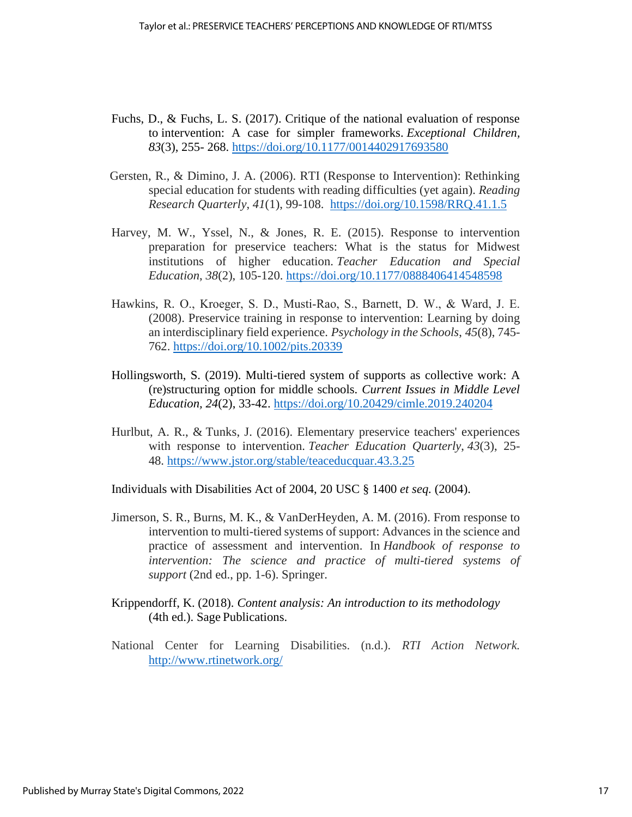- Fuchs, D., & Fuchs, L. S. (2017). Critique of the national evaluation of response to intervention: A case for simpler frameworks. *Exceptional Children, 83*(3), 255- 268.<https://doi.org/10.1177/0014402917693580>
- Gersten, R., & Dimino, J. A. (2006). RTI (Response to Intervention): Rethinking special education for students with reading difficulties (yet again). *Reading Research Quarterly*, *41*(1), 99-108. <https://doi.org/10.1598/RRQ.41.1.5>
- Harvey, M. W., Yssel, N., & Jones, R. E. (2015). Response to intervention preparation for preservice teachers: What is the status for Midwest institutions of higher education. *Teacher Education and Special Education*, *38*(2), 105-120.<https://doi.org/10.1177/0888406414548598>
- Hawkins, R. O., Kroeger, S. D., Musti‐Rao, S., Barnett, D. W., & Ward, J. E. (2008). Preservice training in response to intervention: Learning by doing an interdisciplinary field experience. *Psychology in the Schools*, *45*(8), 745- 762.<https://doi.org/10.1002/pits.20339>
- Hollingsworth, S. (2019). Multi-tiered system of supports as collective work: A (re)structuring option for middle schools. *Current Issues in Middle Level Education, 24*(2), 33-42.<https://doi.org/10.20429/cimle.2019.240204>
- Hurlbut, A. R., & Tunks, J. (2016). Elementary preservice teachers' experiences with response to intervention. *Teacher Education Quarterly*, *43*(3), 25- 48. <https://www.jstor.org/stable/teaceducquar.43.3.25>

Individuals with Disabilities Act of 2004, 20 USC § 1400 *et seq.* (2004).

- Jimerson, S. R., Burns, M. K., & VanDerHeyden, A. M. (2016). From response to intervention to multi-tiered systems of support: Advances in the science and practice of assessment and intervention. In *Handbook of response to intervention: The science and practice of multi-tiered systems of support* (2nd ed., pp. 1-6). Springer.
- Krippendorff, K. (2018). *Content analysis: An introduction to its methodology* (4th ed.). Sage Publications.
- National Center for Learning Disabilities. (n.d.). *RTI Action Network.*  <http://www.rtinetwork.org/>